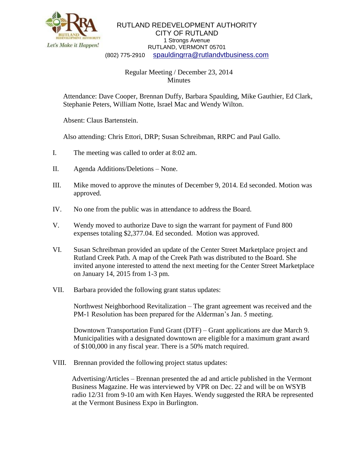

## RUTLAND REDEVELOPMENT AUTHORITY CITY OF RUTLAND 1 Strongs Avenue RUTLAND, VERMONT 05701 (802) 775-2910 [spauldingrra@rutlandvtbusiness.com](mailto:allenrra@rutlandvtbusiness.com)

## Regular Meeting / December 23, 2014 Minutes

Attendance: Dave Cooper, Brennan Duffy, Barbara Spaulding, Mike Gauthier, Ed Clark, Stephanie Peters, William Notte, Israel Mac and Wendy Wilton.

Absent: Claus Bartenstein.

Also attending: Chris Ettori, DRP; Susan Schreibman, RRPC and Paul Gallo.

- I. The meeting was called to order at 8:02 am.
- II. Agenda Additions/Deletions None.
- III. Mike moved to approve the minutes of December 9, 2014. Ed seconded. Motion was approved.
- IV. No one from the public was in attendance to address the Board.
- V. Wendy moved to authorize Dave to sign the warrant for payment of Fund 800 expenses totaling \$2,377.04. Ed seconded. Motion was approved.
- VI. Susan Schreibman provided an update of the Center Street Marketplace project and Rutland Creek Path. A map of the Creek Path was distributed to the Board. She invited anyone interested to attend the next meeting for the Center Street Marketplace on January 14, 2015 from 1-3 pm.
- VII. Barbara provided the following grant status updates:

Northwest Neighborhood Revitalization – The grant agreement was received and the PM-1 Resolution has been prepared for the Alderman's Jan. 5 meeting.

Downtown Transportation Fund Grant (DTF) – Grant applications are due March 9. Municipalities with a designated downtown are eligible for a maximum grant award of \$100,000 in any fiscal year. There is a 50% match required.

VIII. Brennan provided the following project status updates:

Advertising/Articles – Brennan presented the ad and article published in the Vermont Business Magazine. He was interviewed by VPR on Dec. 22 and will be on WSYB radio 12/31 from 9-10 am with Ken Hayes. Wendy suggested the RRA be represented at the Vermont Business Expo in Burlington.